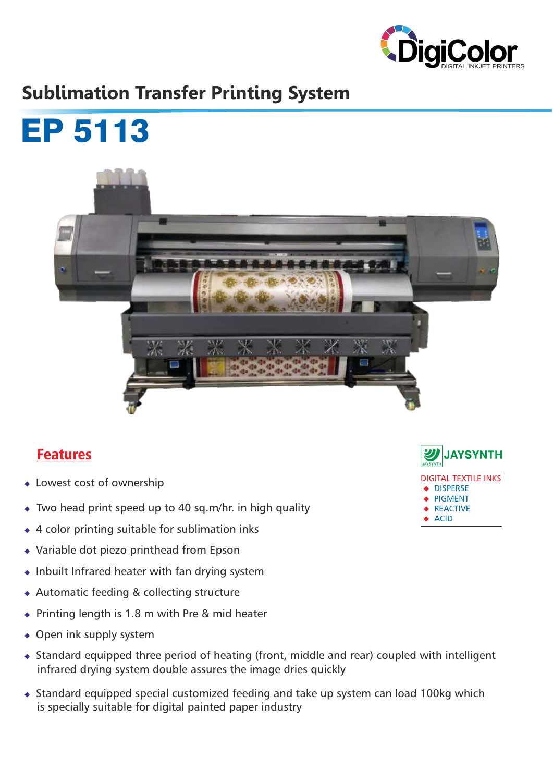

# **Sublimation Transfer Printing System**



## Features

- $\bullet$  Lowest cost of ownership
- $\bullet$  Two head print speed up to 40 sq.m/hr. in high quality
- $\triangleleft$  4 color printing suitable for sublimation inks
- $\rightarrow$  Variable dot piezo printhead from Epson
- $\bullet$  Inbuilt Infrared heater with fan drying system
- $\triangle$  Automatic feeding & collecting structure
- $\bullet$  Printing length is 1.8 m with Pre & mid heater
- $\bullet$  Open ink supply system
- $\bullet$  Standard equipped three period of heating (front, middle and rear) coupled with intelligent infrared drying system double assures the image dries quickly
- $\bullet$  Standard equipped special customized feeding and take up system can load 100kg which is specially suitable for digital painted paper industry